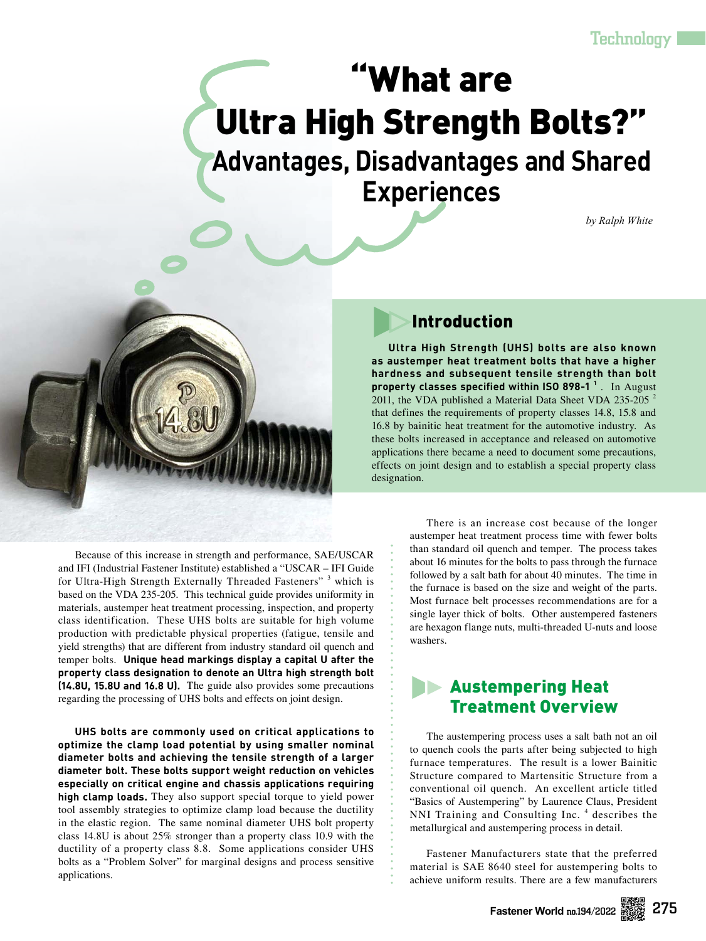# What are Ultra High Strength Bolts?"

**Advantages, Disadvantages and Shared Experiences**

*by Ralph White*



Because of this increase in strength and performance, SAE/USCAR and IFI (Industrial Fastener Institute) established a "USCAR – IFI Guide for Ultra-High Strength Externally Threaded Fasteners"<sup>3</sup> which is based on the VDA 235-205. This technical guide provides uniformity in materials, austemper heat treatment processing, inspection, and property class identification. These UHS bolts are suitable for high volume production with predictable physical properties (fatigue, tensile and yield strengths) that are different from industry standard oil quench and temper bolts. **Unique head markings display a capital U after the property class designation to denote an Ultra high strength bolt (14.8U, 15.8U and 16.8 U).** The guide also provides some precautions regarding the processing of UHS bolts and effects on joint design.

**UHS bolts are commonly used on critical applications to optimize the clamp load potential by using smaller nominal diameter bolts and achieving the tensile strength of a larger diameter bolt. These bolts support weight reduction on vehicles especially on critical engine and chassis applications requiring high clamp loads.** They also support special torque to yield power tool assembly strategies to optimize clamp load because the ductility in the elastic region. The same nominal diameter UHS bolt property class 14.8U is about 25% stronger than a property class 10.9 with the ductility of a property class 8.8. Some applications consider UHS bolts as a "Problem Solver" for marginal designs and process sensitive applications.

# Introduction

**Ultra High Strength (UHS) bolts are also known as austemper heat treatment bolts that have a higher hardness and subsequent tensile strength than bolt property classes specified within ISO 898-1 <sup>1</sup>** . In August 2011, the VDA published a Material Data Sheet VDA 235-205<sup>2</sup> that defines the requirements of property classes 14.8, 15.8 and 16.8 by bainitic heat treatment for the automotive industry. As these bolts increased in acceptance and released on automotive applications there became a need to document some precautions, effects on joint design and to establish a special property class designation.

> There is an increase cost because of the longer austemper heat treatment process time with fewer bolts than standard oil quench and temper. The process takes about 16 minutes for the bolts to pass through the furnace followed by a salt bath for about 40 minutes. The time in the furnace is based on the size and weight of the parts. Most furnace belt processes recommendations are for a single layer thick of bolts. Other austempered fasteners are hexagon flange nuts, multi-threaded U-nuts and loose washers.

# **Austempering Heat** Treatment Overview

The austempering process uses a salt bath not an oil to quench cools the parts after being subjected to high furnace temperatures. The result is a lower Bainitic Structure compared to Martensitic Structure from a conventional oil quench. An excellent article titled "Basics of Austempering" by Laurence Claus, President NNI Training and Consulting Inc.<sup>4</sup> describes the metallurgical and austempering process in detail.

Fastener Manufacturers state that the preferred material is SAE 8640 steel for austempering bolts to achieve uniform results. There are a few manufacturers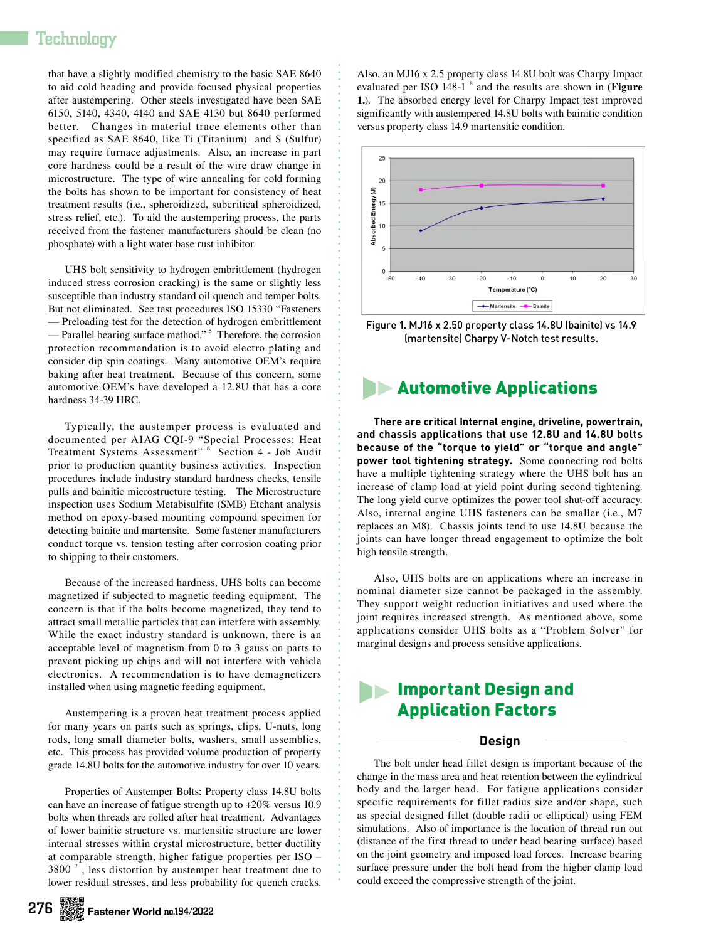## Technology

that have a slightly modified chemistry to the basic SAE 8640 to aid cold heading and provide focused physical properties after austempering. Other steels investigated have been SAE 6150, 5140, 4340, 4140 and SAE 4130 but 8640 performed better. Changes in material trace elements other than specified as SAE 8640, like Ti (Titanium) and S (Sulfur) may require furnace adjustments. Also, an increase in part core hardness could be a result of the wire draw change in microstructure. The type of wire annealing for cold forming the bolts has shown to be important for consistency of heat treatment results (i.e., spheroidized, subcritical spheroidized, stress relief, etc.). To aid the austempering process, the parts received from the fastener manufacturers should be clean (no phosphate) with a light water base rust inhibitor.

UHS bolt sensitivity to hydrogen embrittlement (hydrogen induced stress corrosion cracking) is the same or slightly less susceptible than industry standard oil quench and temper bolts. But not eliminated. See test procedures ISO 15330 "Fasteners — Preloading test for the detection of hydrogen embrittlement — Parallel bearing surface method."<sup>5</sup> Therefore, the corrosion protection recommendation is to avoid electro plating and consider dip spin coatings. Many automotive OEM's require baking after heat treatment. Because of this concern, some automotive OEM's have developed a 12.8U that has a core hardness 34-39 HRC.

Typically, the austemper process is evaluated and documented per AIAG CQI-9 "Special Processes: Heat Treatment Systems Assessment" <sup>6</sup> Section 4 - Job Audit prior to production quantity business activities. Inspection procedures include industry standard hardness checks, tensile pulls and bainitic microstructure testing. The Microstructure inspection uses Sodium Metabisulfite (SMB) Etchant analysis method on epoxy-based mounting compound specimen for detecting bainite and martensite. Some fastener manufacturers conduct torque vs. tension testing after corrosion coating prior to shipping to their customers.

Because of the increased hardness, UHS bolts can become magnetized if subjected to magnetic feeding equipment. The concern is that if the bolts become magnetized, they tend to attract small metallic particles that can interfere with assembly. While the exact industry standard is unknown, there is an acceptable level of magnetism from 0 to 3 gauss on parts to prevent picking up chips and will not interfere with vehicle electronics. A recommendation is to have demagnetizers installed when using magnetic feeding equipment.

Austempering is a proven heat treatment process applied for many years on parts such as springs, clips, U-nuts, long rods, long small diameter bolts, washers, small assemblies, etc. This process has provided volume production of property grade 14.8U bolts for the automotive industry for over 10 years.

Properties of Austemper Bolts: Property class 14.8U bolts can have an increase of fatigue strength up to +20% versus 10.9 bolts when threads are rolled after heat treatment. Advantages of lower bainitic structure vs. martensitic structure are lower internal stresses within crystal microstructure, better ductility at comparable strength, higher fatigue properties per ISO – 3800 $^7$ , less distortion by austemper heat treatment due to lower residual stresses, and less probability for quench cracks.

Also, an MJ16 x 2.5 property class 14.8U bolt was Charpy Impact evaluated per ISO 148-1<sup>8</sup> and the results are shown in (Figure **1.**). The absorbed energy level for Charpy Impact test improved significantly with austempered 14.8U bolts with bainitic condition versus property class 14.9 martensitic condition.



Figure 1. MJ16 x 2.50 property class 14.8U (bainite) vs 14.9 (martensite) Charpy V-Notch test results.

## **Automotive Applications**

**There are critical Internal engine, driveline, powertrain, and chassis applications that use 12.8U and 14.8U bolts because of the "torque to yield" or "torque and angle" power tool tightening strategy.** Some connecting rod bolts have a multiple tightening strategy where the UHS bolt has an increase of clamp load at yield point during second tightening. The long yield curve optimizes the power tool shut-off accuracy. Also, internal engine UHS fasteners can be smaller (i.e., M7 replaces an M8). Chassis joints tend to use 14.8U because the joints can have longer thread engagement to optimize the bolt high tensile strength.

Also, UHS bolts are on applications where an increase in nominal diameter size cannot be packaged in the assembly. They support weight reduction initiatives and used where the joint requires increased strength. As mentioned above, some applications consider UHS bolts as a "Problem Solver" for marginal designs and process sensitive applications.

## **Important Design and** Application Factors

## **Design**

The bolt under head fillet design is important because of the change in the mass area and heat retention between the cylindrical body and the larger head. For fatigue applications consider specific requirements for fillet radius size and/or shape, such as special designed fillet (double radii or elliptical) using FEM simulations. Also of importance is the location of thread run out (distance of the first thread to under head bearing surface) based on the joint geometry and imposed load forces. Increase bearing surface pressure under the bolt head from the higher clamp load could exceed the compressive strength of the joint.